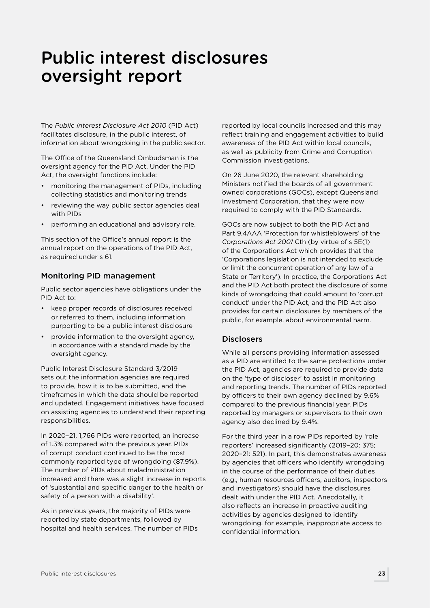# Public interest disclosures oversight report

The *Public Interest Disclosure Act 2010* (PID Act) facilitates disclosure, in the public interest, of information about wrongdoing in the public sector.

The Office of the Queensland Ombudsman is the oversight agency for the PID Act. Under the PID Act, the oversight functions include:

- monitoring the management of PIDs, including collecting statistics and monitoring trends
- reviewing the way public sector agencies deal with **PIDs**
- performing an educational and advisory role.

This section of the Office's annual report is the annual report on the operations of the PID Act, as required under s 61.

# Monitoring PID management

Public sector agencies have obligations under the PID Act to:

- keep proper records of disclosures received or referred to them, including information purporting to be a public interest disclosure
- provide information to the oversight agency, in accordance with a standard made by the oversight agency.

Public Interest Disclosure Standard 3/2019 sets out the information agencies are required to provide, how it is to be submitted, and the timeframes in which the data should be reported and updated. Engagement initiatives have focused on assisting agencies to understand their reporting responsibilities.

In 2020–21, 1,766 PIDs were reported, an increase of 1.3% compared with the previous year. PIDs of corrupt conduct continued to be the most commonly reported type of wrongdoing (87.9%). The number of PIDs about maladministration increased and there was a slight increase in reports of 'substantial and specific danger to the health or safety of a person with a disability'.

As in previous years, the majority of PIDs were reported by state departments, followed by hospital and health services. The number of PIDs reported by local councils increased and this may reflect training and engagement activities to build awareness of the PID Act within local councils, as well as publicity from Crime and Corruption Commission investigations.

On 26 June 2020, the relevant shareholding Ministers notified the boards of all government owned corporations (GOCs), except Queensland Investment Corporation, that they were now required to comply with the PID Standards.

GOCs are now subject to both the PID Act and Part 9.4AAA 'Protection for whistleblowers' of the *Corporations Act 2001* Cth (by virtue of s 5E(1) of the Corporations Act which provides that the 'Corporations legislation is not intended to exclude or limit the concurrent operation of any law of a State or Territory'). In practice, the Corporations Act and the PID Act both protect the disclosure of some kinds of wrongdoing that could amount to 'corrupt conduct' under the PID Act, and the PID Act also provides for certain disclosures by members of the public, for example, about environmental harm.

## **Disclosers**

While all persons providing information assessed as a PID are entitled to the same protections under the PID Act, agencies are required to provide data on the 'type of discloser' to assist in monitoring and reporting trends. The number of PIDs reported by officers to their own agency declined by 9.6% compared to the previous financial year. PIDs reported by managers or supervisors to their own agency also declined by 9.4%.

For the third year in a row PIDs reported by 'role reporters' increased significantly (2019–20: 375; 2020–21: 521). In part, this demonstrates awareness by agencies that officers who identify wrongdoing in the course of the performance of their duties (e.g., human resources officers, auditors, inspectors and investigators) should have the disclosures dealt with under the PID Act. Anecdotally, it also reflects an increase in proactive auditing activities by agencies designed to identify wrongdoing, for example, inappropriate access to confidential information.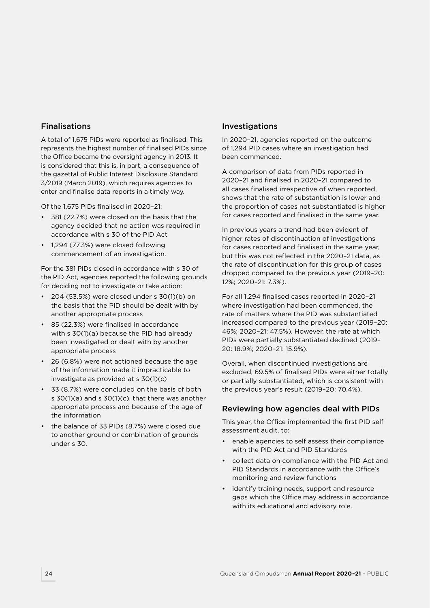## Finalisations

A total of 1,675 PIDs were reported as finalised. This represents the highest number of finalised PIDs since the Office became the oversight agency in 2013. It is considered that this is, in part, a consequence of the gazettal of Public Interest Disclosure Standard 3/2019 (March 2019), which requires agencies to enter and finalise data reports in a timely way.

Of the 1,675 PIDs finalised in 2020–21:

- 381 (22.7%) were closed on the basis that the agency decided that no action was required in accordance with s 30 of the PID Act
- 1,294 (77.3%) were closed following commencement of an investigation.

For the 381 PIDs closed in accordance with s 30 of the PID Act, agencies reported the following grounds for deciding not to investigate or take action:

- 204 (53.5%) were closed under s 30(1)(b) on the basis that the PID should be dealt with by another appropriate process
- 85 (22.3%) were finalised in accordance with s 30(1)(a) because the PID had already been investigated or dealt with by another appropriate process
- 26 (6.8%) were not actioned because the age of the information made it impracticable to investigate as provided at s 30(1)(c)
- 33 (8.7%) were concluded on the basis of both s 30(1)(a) and s 30(1)(c), that there was another appropriate process and because of the age of the information
- the balance of 33 PIDs (8.7%) were closed due to another ground or combination of grounds under s 30.

## Investigations

In 2020–21, agencies reported on the outcome of 1,294 PID cases where an investigation had been commenced.

A comparison of data from PIDs reported in 2020–21 and finalised in 2020–21 compared to all cases finalised irrespective of when reported, shows that the rate of substantiation is lower and the proportion of cases not substantiated is higher for cases reported and finalised in the same year.

In previous years a trend had been evident of higher rates of discontinuation of investigations for cases reported and finalised in the same year, but this was not reflected in the 2020–21 data, as the rate of discontinuation for this group of cases dropped compared to the previous year (2019–20: 12%; 2020–21: 7.3%).

For all 1,294 finalised cases reported in 2020–21 where investigation had been commenced, the rate of matters where the PID was substantiated increased compared to the previous year (2019–20: 46%; 2020–21: 47.5%). However, the rate at which PIDs were partially substantiated declined (2019– 20: 18.9%; 2020–21: 15.9%).

Overall, when discontinued investigations are excluded, 69.5% of finalised PIDs were either totally or partially substantiated, which is consistent with the previous year's result (2019–20: 70.4%).

# Reviewing how agencies deal with PIDs

This year, the Office implemented the first PID self assessment audit, to:

- enable agencies to self assess their compliance with the PID Act and PID Standards
- collect data on compliance with the PID Act and PID Standards in accordance with the Office's monitoring and review functions
- identify training needs, support and resource gaps which the Office may address in accordance with its educational and advisory role.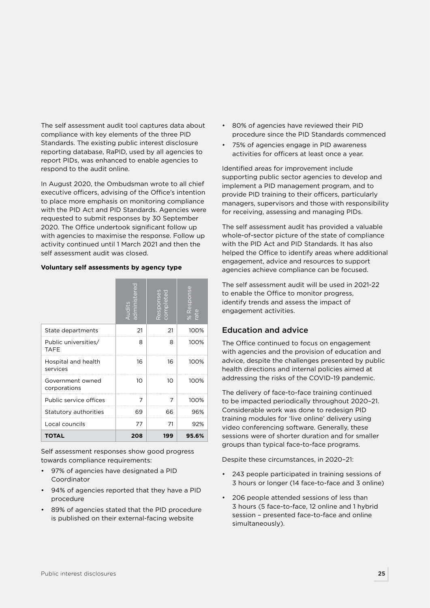The self assessment audit tool captures data about compliance with key elements of the three PID Standards. The existing public interest disclosure reporting database, RaPID, used by all agencies to report PIDs, was enhanced to enable agencies to respond to the audit online.

In August 2020, the Ombudsman wrote to all chief executive officers, advising of the Office's intention to place more emphasis on monitoring compliance with the PID Act and PID Standards. Agencies were requested to submit responses by 30 September 2020. The Office undertook significant follow up with agencies to maximise the response. Follow up activity continued until 1 March 2021 and then the self assessment audit was closed.

#### **Voluntary self assessments by agency type**

|                                     | red<br>Audits<br>administe | Responses<br>completed | % Response<br>rate |
|-------------------------------------|----------------------------|------------------------|--------------------|
| State departments                   | 21                         | 21                     | 100%               |
| Public universities/<br><b>TAFE</b> | 8                          | 8                      | 100%               |
| Hospital and health<br>services     | 16                         | 16                     | 100%               |
| Government owned<br>corporations    | 1O                         | 10                     | 100%               |
| Public service offices              | 7                          | 7                      | 100%               |
| Statutory authorities               | 69                         | 66                     | 96%                |
| Local councils                      | 77                         | 71                     | 92%                |
| TOTAL                               | 208                        | 199                    | 95.6%              |

Self assessment responses show good progress towards compliance requirements:

- 97% of agencies have designated a PID Coordinator
- 94% of agencies reported that they have a PID procedure
- 89% of agencies stated that the PID procedure is published on their external-facing website
- 80% of agencies have reviewed their PID procedure since the PID Standards commenced
- 75% of agencies engage in PID awareness activities for officers at least once a year.

Identified areas for improvement include supporting public sector agencies to develop and implement a PID management program, and to provide PID training to their officers, particularly managers, supervisors and those with responsibility for receiving, assessing and managing PIDs.

The self assessment audit has provided a valuable whole-of-sector picture of the state of compliance with the PID Act and PID Standards. It has also helped the Office to identify areas where additional engagement, advice and resources to support agencies achieve compliance can be focused.

The self assessment audit will be used in 2021-22 to enable the Office to monitor progress, identify trends and assess the impact of engagement activities.

# Education and advice

The Office continued to focus on engagement with agencies and the provision of education and advice, despite the challenges presented by public health directions and internal policies aimed at addressing the risks of the COVID-19 pandemic.

The delivery of face-to-face training continued to be impacted periodically throughout 2020–21. Considerable work was done to redesign PID training modules for 'live online' delivery using video conferencing software. Generally, these sessions were of shorter duration and for smaller groups than typical face-to-face programs.

Despite these circumstances, in 2020–21:

- 243 people participated in training sessions of 3 hours or longer (14 face-to-face and 3 online)
- 206 people attended sessions of less than 3 hours (5 face-to-face, 12 online and 1 hybrid session – presented face-to-face and online simultaneously).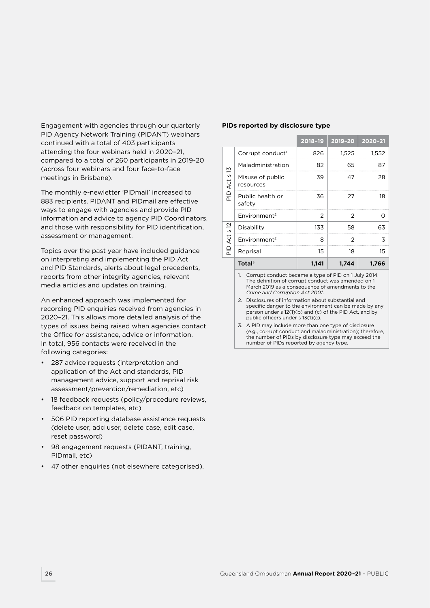Engagement with agencies through our quarterly PID Agency Network Training (PIDANT) webinars continued with a total of 403 participants attending the four webinars held in 2020–21, compared to a total of 260 participants in 2019-20 (across four webinars and four face-to-face meetings in Brisbane).

The monthly e-newletter 'PIDmail' increased to 883 recipients. PIDANT and PIDmail are effective ways to engage with agencies and provide PID information and advice to agency PID Coordinators, and those with responsibility for PID identification, assessment or management.

Topics over the past year have included guidance on interpreting and implementing the PID Act and PID Standards, alerts about legal precedents, reports from other integrity agencies, relevant media articles and updates on training.

An enhanced approach was implemented for recording PID enquiries received from agencies in 2020–21. This allows more detailed analysis of the types of issues being raised when agencies contact the Office for assistance, advice or information. In total, 956 contacts were received in the following categories:

- 287 advice requests (interpretation and application of the Act and standards, PID management advice, support and reprisal risk assessment/prevention/remediation, etc)
- 18 feedback requests (policy/procedure reviews, feedback on templates, etc)
- 506 PID reporting database assistance requests (delete user, add user, delete case, edit case, reset password)
- 98 engagement requests (PIDANT, training, PIDmail, etc)
- 47 other enquiries (not elsewhere categorised).

#### **PIDs reported by disclosure type**

|                         |                                                          | 2018-19 | $2019 - 20$ | 2020-21 |
|-------------------------|----------------------------------------------------------|---------|-------------|---------|
|                         | Corrupt conduct <sup>1</sup>                             | 826     | 1,525       | 1,552   |
|                         | Maladministration                                        | 82      | 65          | 87      |
| PID Act s 13            | Misuse of public<br>resources                            | 39      | 47          | 28      |
|                         | Public health or<br>safety                               | 36      | 27          | 18      |
|                         | Environment <sup>2</sup>                                 | 2       | 2           | Ω       |
| $\frac{2}{3}$           | Disability                                               | 133     | 58          | 63      |
| Act                     | Environment <sup>2</sup>                                 | 8       | 2           | 3       |
| $\frac{\Omega}{\Omega}$ | Reprisal                                                 | 15      | 18          | 15      |
|                         | Total $3$                                                | 1,141   | 1,744       | 1,766   |
|                         | Corrupt conduct became a type of PID on 1 July 2014<br>1 |         |             |         |

1. Corrupt conduct became a type of PID on 1 July 2014. The definition of corrupt conduct was amended on 1 March 2019 as a consequence of amendments to the *Crime and Corruption Act 2001*.

2. Disclosures of information about substantial and specific danger to the environment can be made by any person under s 12(1)(b) and (c) of the PID Act, and by public officers under s 13(1)(c).

3. A PID may include more than one type of disclosure (e.g., corrupt conduct and maladministration); therefore, the number of PIDs by disclosure type may exceed the number of PIDs reported by agency type.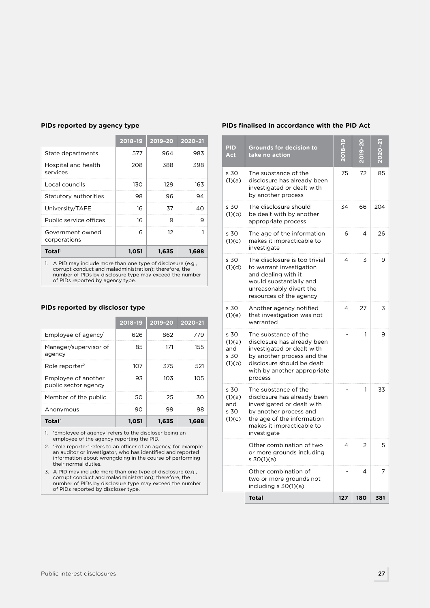|                                                                                                                           | 2018-19 | 2019-20 | 2020-21 |
|---------------------------------------------------------------------------------------------------------------------------|---------|---------|---------|
| State departments                                                                                                         | 577     | 964     | 983     |
| Hospital and health<br>services                                                                                           | 208     | 388     | 398     |
| Local councils                                                                                                            | 130     | 129     | 163     |
| Statutory authorities                                                                                                     | 98      | 96      | 94      |
| University/TAFE                                                                                                           | 16      | 37      | 40      |
| Public service offices                                                                                                    | 16      | 9       | 9       |
| Government owned<br>corporations                                                                                          | 6       | 12      |         |
| <b>Total</b>                                                                                                              | 1,051   | 1,635   | 1,688   |
| A PID may include more than one type of disclosure (e.g.,<br>1.<br>corrupt conduct and maladministration): therefore, the |         |         |         |

### **PIDs reported by agency type**

corrupt conduct and maladministration); therefore, the number of PIDs by disclosure type may exceed the number of PIDs reported by agency type.

#### **PIDs reported by discloser type**

|                                             | 2018-19 | 2019-20 | 2020-21 |
|---------------------------------------------|---------|---------|---------|
| Employee of agency $\mathsf{I}$             | 626     | 862     | 779     |
| Manager/supervisor of<br>agency             | 85      | 171     | 155     |
| Role reporter <sup>2</sup>                  | 107     | 375     | 521     |
| Employee of another<br>public sector agency | 93      | 103     | 10.5    |
| Member of the public                        | 50      | 25      | 30      |
| Anonymous                                   | 90      | 99      | 98      |
| Total $3$                                   | 1.051   | 1.635   | 1.688   |

1. 'Employee of agency' refers to the discloser being an employee of the agency reporting the PID.

2. 'Role reporter' refers to an officer of an agency, for example an auditor or investigator, who has identified and reported information about wrongdoing in the course of performing their normal duties.

3. A PID may include more than one type of disclosure (e.g., corrupt conduct and maladministration); therefore, the number of PIDs by disclosure type may exceed the number of PIDs reported by discloser type.

#### **PIDs finalised in accordance with the PID Act**

| <b>PID</b><br><b>Act</b>                | <b>Grounds for decision to</b><br>take no action                                                                                                                                        |     |                |     |
|-----------------------------------------|-----------------------------------------------------------------------------------------------------------------------------------------------------------------------------------------|-----|----------------|-----|
| s 30<br>(1)(a)                          | The substance of the<br>disclosure has already been<br>investigated or dealt with<br>by another process                                                                                 | 75  | 72             | 85  |
| s 30<br>(1)(b)                          | The disclosure should<br>be dealt with by another<br>appropriate process                                                                                                                | 34  | 66             | 204 |
| s 30<br>(1)(c)                          | The age of the information<br>makes it impracticable to<br>investigate                                                                                                                  | 6   | 4              | 26  |
| s 30<br>(1)(d)                          | The disclosure is too trivial<br>to warrant investigation<br>and dealing with it<br>would substantially and<br>unreasonably divert the<br>resources of the agency                       | 4   | 3              | 9   |
| s 30<br>(1)(e)                          | Another agency notified<br>that investigation was not<br>warranted                                                                                                                      | 4   | 27             | 3   |
| s 30<br>(1)(a)<br>and<br>s 30<br>(1)(b) | The substance of the<br>disclosure has already been<br>investigated or dealt with<br>by another process and the<br>disclosure should be dealt<br>with by another appropriate<br>process |     | 1              | 9   |
| s 30<br>(1)(a)<br>and<br>s 30<br>(1)(c) | The substance of the<br>disclosure has already been<br>investigated or dealt with<br>by another process and<br>the age of the information<br>makes it impracticable to<br>investigate   |     | 1              | 33  |
|                                         | Other combination of two<br>or more grounds including<br>s 30(1)(a)                                                                                                                     | 4   | $\overline{2}$ | 5   |
|                                         | Other combination of<br>two or more grounds not<br>including s 30(1)(a)                                                                                                                 |     | 4              | 7   |
|                                         | <b>Total</b>                                                                                                                                                                            | 127 | 180            | 381 |